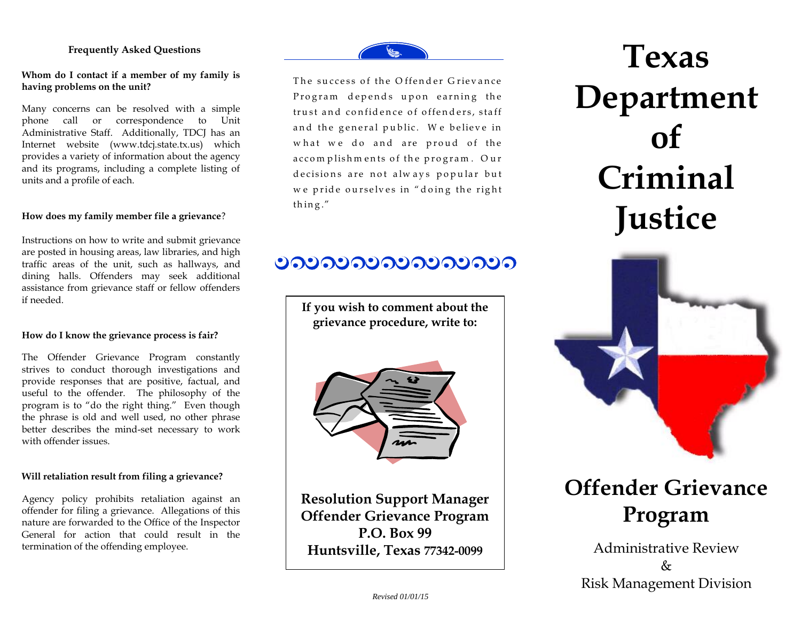#### **Frequently Asked Questions**

#### **Whom do I contact if a member of my family is having problems on the unit?**

Many concerns can be resolved with a simple phone call or correspondence to Unit Administrative Staff. Additionally, TDCJ has an Internet website [\(www.tdcj.state.tx.us\)](http://www.tdcj.state.tx.us/) which provides a variety of information about the agency and its programs, including a complete listing of units and a profile of each.

#### **How does my family member file a grievance**?

Instructions on how to write and submit grievance are posted in housing areas, law libraries, and high traffic areas of the unit, such as hallways, and dining halls. Offenders may seek additional assistance from grievance staff or fellow offenders if needed.

#### **How do I know the grievance process is fair?**

The Offender Grievance Program constantly strives to conduct thorough investigations and provide responses that are positive, factual, and useful to the offender. The philosophy of the program is to "do the right thing." Even though the phrase is old and well used, no other phrase better describes the mind-set necessary to work with offender issues.

#### **Will retaliation result from filing a grievance?**

Agency policy prohibits retaliation against an offender for filing a grievance. Allegations of this nature are forwarded to the Office of the Inspector General for action that could result in the termination of the offending employee.

The success of the Offender Grievance Program depends upon earning the trust and confidence of offenders, staff and the general public. We believe in what we do and are proud of the accomplishments of the program. Our decisions are not always popular but decisions are not always popular but<br>we pride ourselves in "doing the right we pride o<br>thing."

## <u>ಲನಲನಲನಲನಲನಲನಲನ</u>

**If you wish to comment about the grievance procedure, write to:**



**Resolution Support Manager Offender Grievance Program P.O. Box 99 Huntsville, Texas 77342-0099**

**Texas Department of Criminal Justice** 



# **Offender Grievance Program**

Administrative Review & Risk Management Division